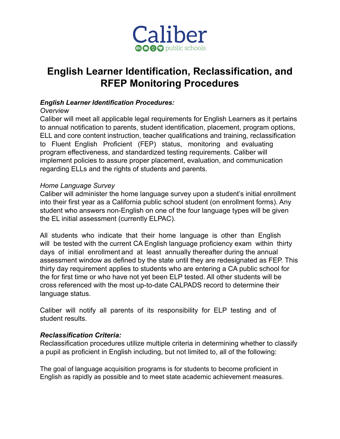

# **English Learner Identification, Reclassification, and RFEP Monitoring Procedures**

## *English Learner Identification Procedures:*

### *Overview*

Caliber will meet all applicable legal requirements for English Learners as it pertains to annual notification to parents, student identification, placement, program options, ELL and core content instruction, teacher qualifications and training, reclassification to Fluent English Proficient (FEP) status, monitoring and evaluating program effectiveness, and standardized testing requirements. Caliber will implement policies to assure proper placement, evaluation, and communication regarding ELLs and the rights of students and parents.

## *Home Language Survey*

Caliber will administer the home language survey upon a student's initial enrollment into their first year as a California public school student (on enrollment forms). Any student who answers non-English on one of the four language types will be given the EL initial assessment (currently ELPAC).

All students who indicate that their home language is other than English will be tested with the current CA English language proficiency exam within thirty days of initial enrollment and at least annually thereafter during the annual assessment window as defined by the state until they are redesignated as FEP. This thirty day requirement applies to students who are entering a CA public school for the for first time or who have not yet been ELP tested. All other students will be cross referenced with the most up-to-date CALPADS record to determine their language status.

Caliber will notify all parents of its responsibility for ELP testing and of student results.

## *Reclassification Criteria:*

Reclassification procedures utilize multiple criteria in determining whether to classify a pupil as proficient in English including, but not limited to, all of the following:

The goal of language acquisition programs is for students to become proficient in English as rapidly as possible and to meet state academic achievement measures.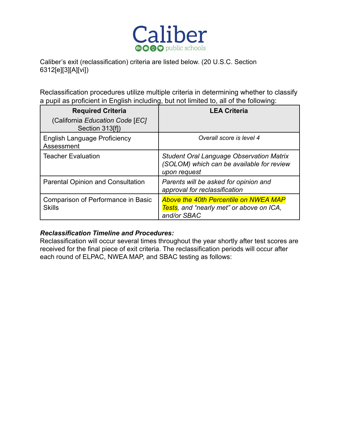

Caliber's exit (reclassification) criteria are listed below. (20 U.S.C. Section 6312[e][3][A][vi])

Reclassification procedures utilize multiple criteria in determining whether to classify a pupil as proficient in English including, but not limited to, all of the following:

| <b>Required Criteria</b><br>(California Education Code [EC]<br>Section 313[f]) | <b>LEA Criteria</b>                                                                                          |
|--------------------------------------------------------------------------------|--------------------------------------------------------------------------------------------------------------|
| <b>English Language Proficiency</b><br>Assessment                              | Overall score is level 4                                                                                     |
| <b>Teacher Evaluation</b>                                                      | <b>Student Oral Language Observation Matrix</b><br>(SOLOM) which can be available for review<br>upon request |
| <b>Parental Opinion and Consultation</b>                                       | Parents will be asked for opinion and<br>approval for reclassification                                       |
| Comparison of Performance in Basic<br><b>Skills</b>                            | <b>Above the 40th Percentile on NWEA MAP</b><br>Tests, and "nearly met" or above on ICA,<br>and/or SBAC      |

## *Reclassification Timeline and Procedures:*

Reclassification will occur several times throughout the year shortly after test scores are received for the final piece of exit criteria. The reclassification periods will occur after each round of ELPAC, NWEA MAP, and SBAC testing as follows: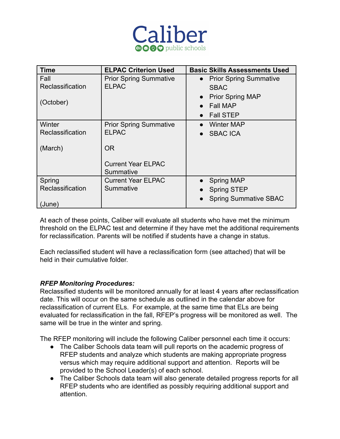

| <b>Time</b>      | <b>ELPAC Criterion Used</b>            | <b>Basic Skills Assessments Used</b> |
|------------------|----------------------------------------|--------------------------------------|
| Fall             | <b>Prior Spring Summative</b>          | • Prior Spring Summative             |
| Reclassification | <b>ELPAC</b>                           | <b>SBAC</b>                          |
|                  |                                        | <b>Prior Spring MAP</b><br>$\bullet$ |
| (October)        |                                        | <b>Fall MAP</b>                      |
|                  |                                        | <b>Fall STEP</b><br>$\bullet$        |
| Winter           | <b>Prior Spring Summative</b>          | Winter MAP<br>$\bullet$              |
| Reclassification | <b>ELPAC</b>                           | <b>SBAC ICA</b><br>$\bullet$         |
| (March)          | OR.                                    |                                      |
|                  | <b>Current Year ELPAC</b><br>Summative |                                      |
| Spring           | <b>Current Year ELPAC</b>              | <b>Spring MAP</b><br>$\bullet$       |
| Reclassification | Summative                              | <b>Spring STEP</b>                   |
| (June            |                                        | <b>Spring Summative SBAC</b>         |

At each of these points, Caliber will evaluate all students who have met the minimum threshold on the ELPAC test and determine if they have met the additional requirements for reclassification. Parents will be notified if students have a change in status.

Each reclassified student will have a reclassification form (see attached) that will be held in their cumulative folder.

## *RFEP Monitoring Procedures:*

Reclassified students will be monitored annually for at least 4 years after reclassification date. This will occur on the same schedule as outlined in the calendar above for reclassification of current ELs. For example, at the same time that ELs are being evaluated for reclassification in the fall, RFEP's progress will be monitored as well. The same will be true in the winter and spring.

The RFEP monitoring will include the following Caliber personnel each time it occurs:

- The Caliber Schools data team will pull reports on the academic progress of RFEP students and analyze which students are making appropriate progress versus which may require additional support and attention. Reports will be provided to the School Leader(s) of each school.
- The Caliber Schools data team will also generate detailed progress reports for all RFEP students who are identified as possibly requiring additional support and attention.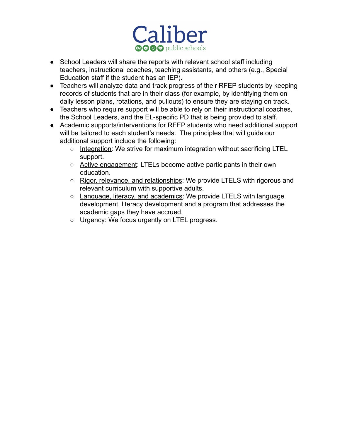

- School Leaders will share the reports with relevant school staff including teachers, instructional coaches, teaching assistants, and others (e.g., Special Education staff if the student has an IEP).
- Teachers will analyze data and track progress of their RFEP students by keeping records of students that are in their class (for example, by identifying them on daily lesson plans, rotations, and pullouts) to ensure they are staying on track.
- Teachers who require support will be able to rely on their instructional coaches, the School Leaders, and the EL-specific PD that is being provided to staff.
- Academic supports/interventions for RFEP students who need additional support will be tailored to each student's needs. The principles that will guide our additional support include the following:
	- Integration: We strive for maximum integration without sacrificing LTEL support.
	- Active engagement: LTELs become active participants in their own education.
	- Rigor, relevance, and relationships: We provide LTELS with rigorous and relevant curriculum with supportive adults.
	- Language, literacy, and academics: We provide LTELS with language development, literacy development and a program that addresses the academic gaps they have accrued.
	- Urgency: We focus urgently on LTEL progress.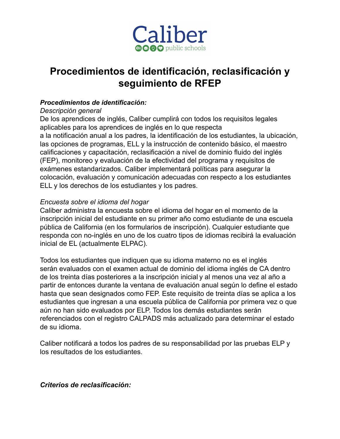

# **Procedimientos de identificación, reclasificación y seguimiento de RFEP**

## *Procedimientos de identificación:*

## *Descripción general*

De los aprendices de inglés, Caliber cumplirá con todos los requisitos legales aplicables para los aprendices de inglés en lo que respecta a la notificación anual a los padres, la identificación de los estudiantes, la ubicación, las opciones de programas, ELL y la instrucción de contenido básico, el maestro calificaciones y capacitación, reclasificación a nivel de dominio fluido del inglés (FEP), monitoreo y evaluación de la efectividad del programa y requisitos de exámenes estandarizados. Caliber implementará políticas para asegurar la colocación, evaluación y comunicación adecuadas con respecto a los estudiantes ELL y los derechos de los estudiantes y los padres.

## *Encuesta sobre el idioma del hogar*

Caliber administra la encuesta sobre el idioma del hogar en el momento de la inscripción inicial del estudiante en su primer año como estudiante de una escuela pública de California (en los formularios de inscripción). Cualquier estudiante que responda con no-inglés en uno de los cuatro tipos de idiomas recibirá la evaluación inicial de EL (actualmente ELPAC).

Todos los estudiantes que indiquen que su idioma materno no es el inglés serán evaluados con el examen actual de dominio del idioma inglés de CA dentro de los treinta días posteriores a la inscripción inicial y al menos una vez al año a partir de entonces durante la ventana de evaluación anual según lo define el estado hasta que sean designados como FEP. Este requisito de treinta días se aplica a los estudiantes que ingresan a una escuela pública de California por primera vez o que aún no han sido evaluados por ELP. Todos los demás estudiantes serán referenciados con el registro CALPADS más actualizado para determinar el estado de su idioma.

Caliber notificará a todos los padres de su responsabilidad por las pruebas ELP y los resultados de los estudiantes.

*Criterios de reclasificación:*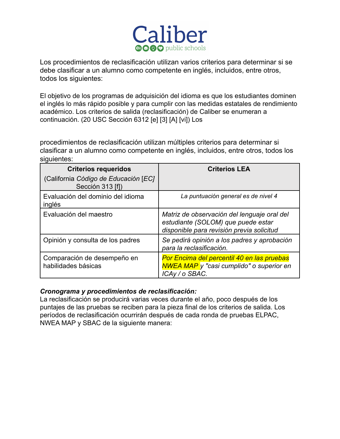

Los procedimientos de reclasificación utilizan varios criterios para determinar si se debe clasificar a un alumno como competente en inglés, incluidos, entre otros, todos los siguientes:

El objetivo de los programas de adquisición del idioma es que los estudiantes dominen el inglés lo más rápido posible y para cumplir con las medidas estatales de rendimiento académico. Los criterios de salida (reclasificación) de Caliber se enumeran a continuación. (20 USC Sección 6312 [e] [3] [A] [vi]) Los

procedimientos de reclasificación utilizan múltiples criterios para determinar si clasificar a un alumno como competente en inglés, incluidos, entre otros, todos los siguientes:

| <b>Criterios requeridos</b><br>(California Código de Educación [EC] | <b>Criterios LEA</b>                                                                                                           |
|---------------------------------------------------------------------|--------------------------------------------------------------------------------------------------------------------------------|
| Sección 313 [f])                                                    |                                                                                                                                |
| Evaluación del dominio del idioma<br>inglés                         | La puntuación general es de nivel 4                                                                                            |
| Evaluación del maestro                                              | Matriz de observación del lenguaje oral del<br>estudiante (SOLOM) que puede estar<br>disponible para revisión previa solicitud |
| Opinión y consulta de los padres                                    | Se pedirá opinión a los padres y aprobación<br>para la reclasificación.                                                        |
| Comparación de desempeño en<br>habilidades básicas                  | Por Encima del percentil 40 en las pruebas<br><b>NWEA MAP</b> y "casi cumplido" o superior en<br>ICAy / o SBAC.                |

#### *Cronograma y procedimientos de reclasificación:*

La reclasificación se producirá varias veces durante el año, poco después de los puntajes de las pruebas se reciben para la pieza final de los criterios de salida. Los períodos de reclasificación ocurrirán después de cada ronda de pruebas ELPAC, NWEA MAP y SBAC de la siguiente manera: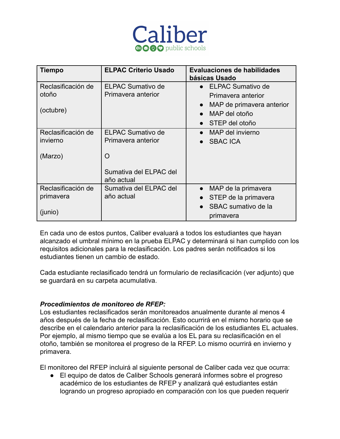

| <b>Tiempo</b>      | <b>ELPAC Criterio Usado</b>          | <b>Evaluaciones de habilidades</b><br>básicas Usado |
|--------------------|--------------------------------------|-----------------------------------------------------|
| Reclasificación de | <b>ELPAC Sumativo de</b>             | • ELPAC Sumativo de                                 |
| otoño              | Primavera anterior                   | Primavera anterior                                  |
| (octubre)          |                                      | MAP de primavera anterior<br>$\bullet$              |
|                    |                                      | MAP del otoño<br>$\bullet$                          |
|                    |                                      | $\bullet$ STEP del otoño                            |
| Reclasificación de | <b>ELPAC Sumativo de</b>             | MAP del invierno<br>$\bullet$                       |
| invierno           | Primavera anterior                   | <b>SBAC ICA</b>                                     |
| (Marzo)            | O                                    |                                                     |
|                    | Sumativa del ELPAC del<br>año actual |                                                     |
| Reclasificación de | Sumativa del ELPAC del               | MAP de la primavera<br>$\bullet$                    |
| primavera          | año actual                           | STEP de la primavera<br>$\bullet$                   |
| (junio)            |                                      | SBAC sumativo de la<br>$\bullet$<br>primavera       |

En cada uno de estos puntos, Caliber evaluará a todos los estudiantes que hayan alcanzado el umbral mínimo en la prueba ELPAC y determinará si han cumplido con los requisitos adicionales para la reclasificación. Los padres serán notificados si los estudiantes tienen un cambio de estado.

Cada estudiante reclasificado tendrá un formulario de reclasificación (ver adjunto) que se guardará en su carpeta acumulativa.

#### *Procedimientos de monitoreo de RFEP:*

Los estudiantes reclasificados serán monitoreados anualmente durante al menos 4 años después de la fecha de reclasificación. Esto ocurrirá en el mismo horario que se describe en el calendario anterior para la reclasificación de los estudiantes EL actuales. Por ejemplo, al mismo tiempo que se evalúa a los EL para su reclasificación en el otoño, también se monitorea el progreso de la RFEP. Lo mismo ocurrirá en invierno y primavera.

El monitoreo del RFEP incluirá al siguiente personal de Caliber cada vez que ocurra:

● El equipo de datos de Caliber Schools generará informes sobre el progreso académico de los estudiantes de RFEP y analizará qué estudiantes están logrando un progreso apropiado en comparación con los que pueden requerir